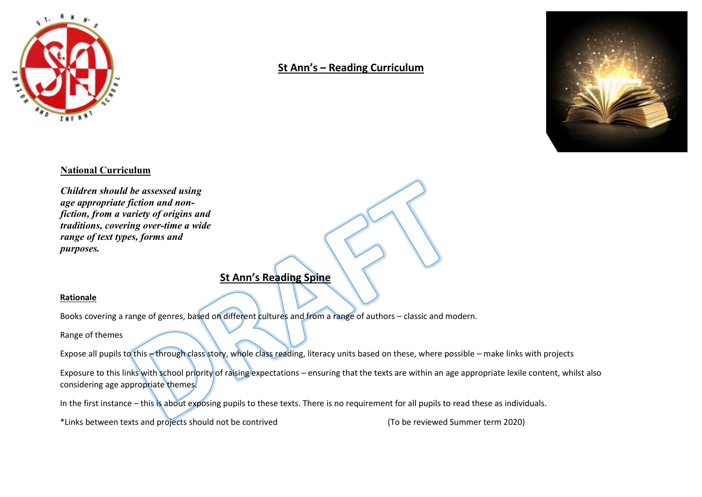

## **St Ann's – Reading Curriculum**



## **National Curriculum**

*Children should be assessed using age appropriate fiction and nonfiction, from a variety of origins and traditions, covering over-time a wide range of text types, forms and purposes.* 

## **St Ann's Reading Spine**

## **Rationale**

Books covering a range of genres, based on different cultures and from a range of authors – classic and modern.

Range of themes

Expose all pupils to this – through class story, whole class reading, literacy units based on these, where possible – make links with projects

Exposure to this links with school priority of raising expectations – ensuring that the texts are within an age appropriate lexile content, whilst also considering age appropriate themes.

In the first instance – this is about exposing pupils to these texts. There is no requirement for all pupils to read these as individuals.

\*Links between texts and projects should not be contrived (To be reviewed Summer term 2020)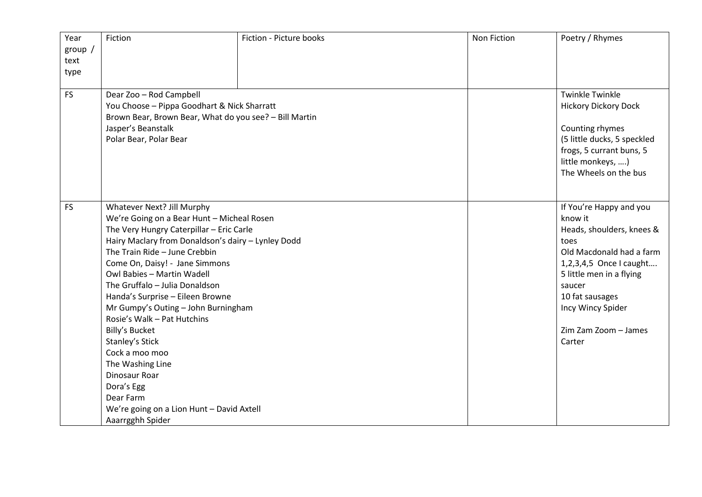| Year      | Fiction                                                                                       | Fiction - Picture books | Non Fiction | Poetry / Rhymes             |
|-----------|-----------------------------------------------------------------------------------------------|-------------------------|-------------|-----------------------------|
| group /   |                                                                                               |                         |             |                             |
| text      |                                                                                               |                         |             |                             |
| type      |                                                                                               |                         |             |                             |
| <b>FS</b> | Dear Zoo - Rod Campbell                                                                       |                         |             | <b>Twinkle Twinkle</b>      |
|           | You Choose - Pippa Goodhart & Nick Sharratt                                                   |                         |             | <b>Hickory Dickory Dock</b> |
|           | Brown Bear, Brown Bear, What do you see? - Bill Martin                                        |                         |             |                             |
|           | Jasper's Beanstalk                                                                            |                         |             | Counting rhymes             |
|           | Polar Bear, Polar Bear                                                                        |                         |             | (5 little ducks, 5 speckled |
|           |                                                                                               |                         |             | frogs, 5 currant buns, 5    |
|           |                                                                                               |                         |             | little monkeys, )           |
|           |                                                                                               |                         |             | The Wheels on the bus       |
|           |                                                                                               |                         |             |                             |
|           |                                                                                               |                         |             |                             |
| <b>FS</b> | Whatever Next? Jill Murphy                                                                    |                         |             | If You're Happy and you     |
|           | We're Going on a Bear Hunt - Micheal Rosen                                                    |                         |             | know it                     |
|           | The Very Hungry Caterpillar - Eric Carle                                                      |                         |             | Heads, shoulders, knees &   |
|           | Hairy Maclary from Donaldson's dairy - Lynley Dodd                                            |                         |             | toes                        |
|           | The Train Ride - June Crebbin<br>Come On, Daisy! - Jane Simmons<br>Owl Babies - Martin Wadell |                         |             | Old Macdonald had a farm    |
|           |                                                                                               |                         |             | 1,2,3,4,5 Once I caught     |
|           | The Gruffalo - Julia Donaldson                                                                |                         |             | 5 little men in a flying    |
|           | Handa's Surprise - Eileen Browne                                                              |                         |             | saucer<br>10 fat sausages   |
|           | Mr Gumpy's Outing - John Burningham                                                           |                         |             | Incy Wincy Spider           |
|           | Rosie's Walk - Pat Hutchins                                                                   |                         |             |                             |
|           | <b>Billy's Bucket</b>                                                                         |                         |             | Zim Zam Zoom - James        |
|           | Stanley's Stick                                                                               |                         |             | Carter                      |
|           | Cock a moo moo                                                                                |                         |             |                             |
|           | The Washing Line                                                                              |                         |             |                             |
|           | <b>Dinosaur Roar</b>                                                                          |                         |             |                             |
|           | Dora's Egg                                                                                    |                         |             |                             |
|           | Dear Farm                                                                                     |                         |             |                             |
|           | We're going on a Lion Hunt - David Axtell                                                     |                         |             |                             |
|           | Aaarrgghh Spider                                                                              |                         |             |                             |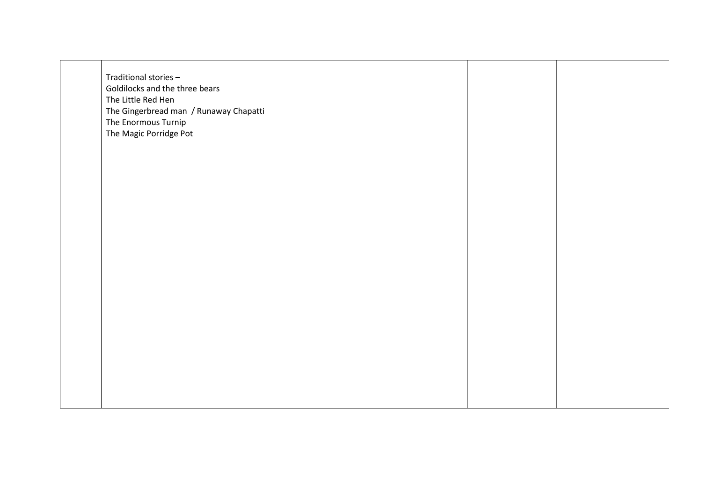| Traditional stories-<br>Goldilocks and the three bears<br>The Little Red Hen<br>The Gingerbread man / Runaway Chapatti<br>The Enormous Turnip<br>The Magic Porridge Pot |  |
|-------------------------------------------------------------------------------------------------------------------------------------------------------------------------|--|
|                                                                                                                                                                         |  |
|                                                                                                                                                                         |  |
|                                                                                                                                                                         |  |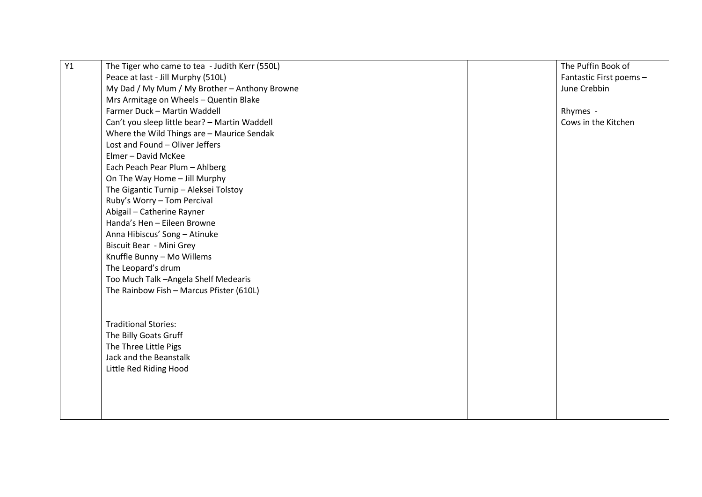| Y1 | The Tiger who came to tea - Judith Kerr (550L) |  | The Puffin Book of      |
|----|------------------------------------------------|--|-------------------------|
|    | Peace at last - Jill Murphy (510L)             |  | Fantastic First poems - |
|    | My Dad / My Mum / My Brother - Anthony Browne  |  | June Crebbin            |
|    | Mrs Armitage on Wheels - Quentin Blake         |  |                         |
|    | Farmer Duck - Martin Waddell                   |  | Rhymes -                |
|    | Can't you sleep little bear? - Martin Waddell  |  | Cows in the Kitchen     |
|    | Where the Wild Things are - Maurice Sendak     |  |                         |
|    | Lost and Found - Oliver Jeffers                |  |                         |
|    | Elmer - David McKee                            |  |                         |
|    | Each Peach Pear Plum - Ahlberg                 |  |                         |
|    | On The Way Home - Jill Murphy                  |  |                         |
|    | The Gigantic Turnip - Aleksei Tolstoy          |  |                         |
|    | Ruby's Worry - Tom Percival                    |  |                         |
|    | Abigail - Catherine Rayner                     |  |                         |
|    | Handa's Hen - Eileen Browne                    |  |                         |
|    | Anna Hibiscus' Song - Atinuke                  |  |                         |
|    | Biscuit Bear - Mini Grey                       |  |                         |
|    | Knuffle Bunny - Mo Willems                     |  |                         |
|    | The Leopard's drum                             |  |                         |
|    | Too Much Talk - Angela Shelf Medearis          |  |                         |
|    | The Rainbow Fish - Marcus Pfister (610L)       |  |                         |
|    |                                                |  |                         |
|    |                                                |  |                         |
|    | <b>Traditional Stories:</b>                    |  |                         |
|    | The Billy Goats Gruff                          |  |                         |
|    | The Three Little Pigs                          |  |                         |
|    | Jack and the Beanstalk                         |  |                         |
|    | Little Red Riding Hood                         |  |                         |
|    |                                                |  |                         |
|    |                                                |  |                         |
|    |                                                |  |                         |
|    |                                                |  |                         |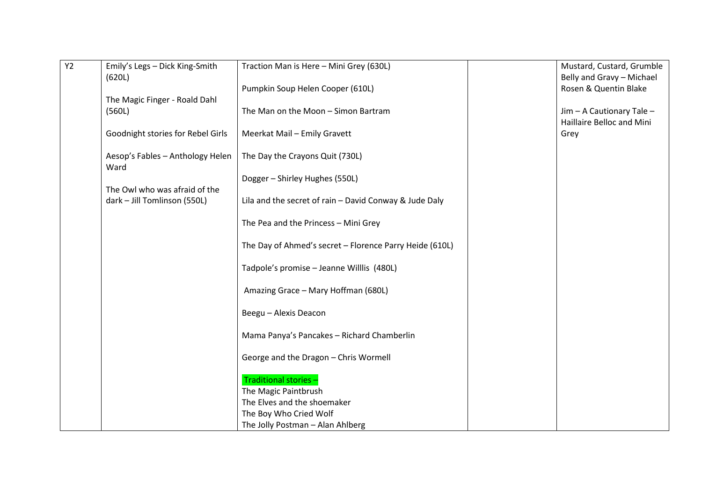| <b>Y2</b> | Emily's Legs - Dick King-Smith    | Traction Man is Here - Mini Grey (630L)                 | Mustard, Custard, Grumble                          |
|-----------|-----------------------------------|---------------------------------------------------------|----------------------------------------------------|
|           | (620L)                            | Pumpkin Soup Helen Cooper (610L)                        | Belly and Gravy - Michael<br>Rosen & Quentin Blake |
|           | The Magic Finger - Roald Dahl     |                                                         |                                                    |
|           | (560L)                            | The Man on the Moon - Simon Bartram                     | Jim - A Cautionary Tale -                          |
|           |                                   |                                                         | Haillaire Belloc and Mini                          |
|           | Goodnight stories for Rebel Girls | Meerkat Mail - Emily Gravett                            | Grey                                               |
|           | Aesop's Fables - Anthology Helen  | The Day the Crayons Quit (730L)                         |                                                    |
|           | Ward                              |                                                         |                                                    |
|           | The Owl who was afraid of the     | Dogger - Shirley Hughes (550L)                          |                                                    |
|           | dark - Jill Tomlinson (550L)      | Lila and the secret of rain - David Conway & Jude Daly  |                                                    |
|           |                                   | The Pea and the Princess - Mini Grey                    |                                                    |
|           |                                   | The Day of Ahmed's secret - Florence Parry Heide (610L) |                                                    |
|           |                                   | Tadpole's promise - Jeanne Willlis (480L)               |                                                    |
|           |                                   | Amazing Grace - Mary Hoffman (680L)                     |                                                    |
|           |                                   | Beegu - Alexis Deacon                                   |                                                    |
|           |                                   | Mama Panya's Pancakes - Richard Chamberlin              |                                                    |
|           |                                   | George and the Dragon - Chris Wormell                   |                                                    |
|           |                                   | Traditional stories -                                   |                                                    |
|           |                                   | The Magic Paintbrush                                    |                                                    |
|           |                                   | The Elves and the shoemaker                             |                                                    |
|           |                                   | The Boy Who Cried Wolf                                  |                                                    |
|           |                                   | The Jolly Postman - Alan Ahlberg                        |                                                    |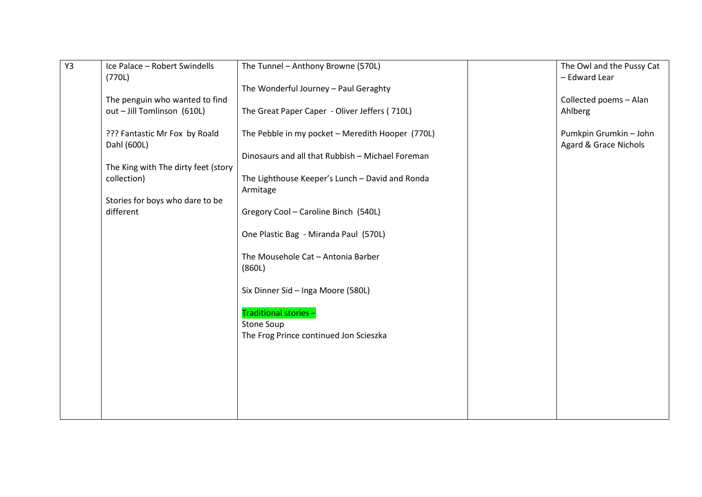| Y3 | Ice Palace - Robert Swindells<br>(770L)      | The Tunnel - Anthony Browne (570L)                          | The Owl and the Pussy Cat<br>- Edward Lear      |
|----|----------------------------------------------|-------------------------------------------------------------|-------------------------------------------------|
|    |                                              | The Wonderful Journey - Paul Geraghty                       |                                                 |
|    | The penguin who wanted to find               |                                                             | Collected poems - Alan                          |
|    | out - Jill Tomlinson (610L)                  | The Great Paper Caper - Oliver Jeffers (710L)               | Ahlberg                                         |
|    | ??? Fantastic Mr Fox by Roald<br>Dahl (600L) | The Pebble in my pocket - Meredith Hooper (770L)            | Pumkpin Grumkin - John<br>Agard & Grace Nichols |
|    |                                              | Dinosaurs and all that Rubbish - Michael Foreman            |                                                 |
|    | The King with The dirty feet (story          |                                                             |                                                 |
|    | collection)                                  | The Lighthouse Keeper's Lunch - David and Ronda<br>Armitage |                                                 |
|    | Stories for boys who dare to be              |                                                             |                                                 |
|    | different                                    | Gregory Cool - Caroline Binch (540L)                        |                                                 |
|    |                                              | One Plastic Bag - Miranda Paul (570L)                       |                                                 |
|    |                                              | The Mousehole Cat - Antonia Barber<br>(860L)                |                                                 |
|    |                                              | Six Dinner Sid - Inga Moore (580L)                          |                                                 |
|    |                                              | Traditional stories -                                       |                                                 |
|    |                                              | Stone Soup                                                  |                                                 |
|    |                                              | The Frog Prince continued Jon Scieszka                      |                                                 |
|    |                                              |                                                             |                                                 |
|    |                                              |                                                             |                                                 |
|    |                                              |                                                             |                                                 |
|    |                                              |                                                             |                                                 |
|    |                                              |                                                             |                                                 |
|    |                                              |                                                             |                                                 |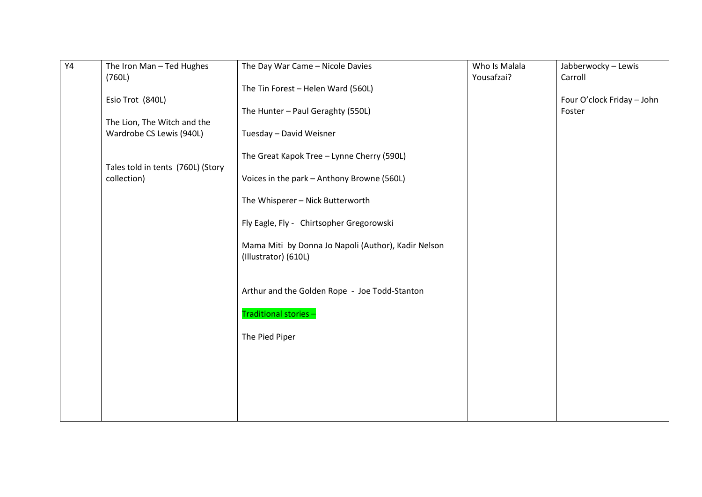| $\overline{Y4}$ | The Iron Man - Ted Hughes         | The Day War Came - Nicole Davies                                            | Who Is Malala | Jabberwocky - Lewis                  |
|-----------------|-----------------------------------|-----------------------------------------------------------------------------|---------------|--------------------------------------|
|                 | (760L)                            |                                                                             | Yousafzai?    | Carroll                              |
|                 |                                   | The Tin Forest - Helen Ward (560L)                                          |               |                                      |
|                 | Esio Trot (840L)                  | The Hunter - Paul Geraghty (550L)                                           |               | Four O'clock Friday - John<br>Foster |
|                 | The Lion, The Witch and the       |                                                                             |               |                                      |
|                 | Wardrobe CS Lewis (940L)          | Tuesday - David Weisner                                                     |               |                                      |
|                 | Tales told in tents (760L) (Story | The Great Kapok Tree - Lynne Cherry (590L)                                  |               |                                      |
|                 | collection)                       | Voices in the park - Anthony Browne (560L)                                  |               |                                      |
|                 |                                   | The Whisperer - Nick Butterworth                                            |               |                                      |
|                 |                                   | Fly Eagle, Fly - Chirtsopher Gregorowski                                    |               |                                      |
|                 |                                   | Mama Miti by Donna Jo Napoli (Author), Kadir Nelson<br>(Illustrator) (610L) |               |                                      |
|                 |                                   | Arthur and the Golden Rope - Joe Todd-Stanton                               |               |                                      |
|                 |                                   | Traditional stories-                                                        |               |                                      |
|                 |                                   | The Pied Piper                                                              |               |                                      |
|                 |                                   |                                                                             |               |                                      |
|                 |                                   |                                                                             |               |                                      |
|                 |                                   |                                                                             |               |                                      |
|                 |                                   |                                                                             |               |                                      |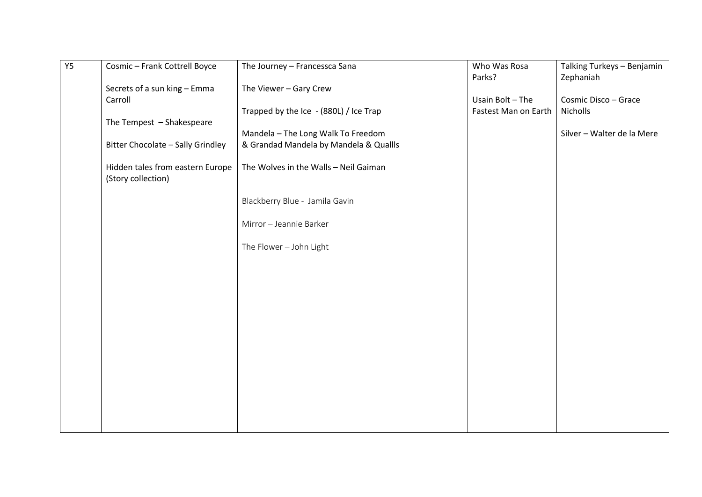| <b>Y5</b> | Cosmic - Frank Cottrell Boyce     | The Journey - Francessca Sana                                                        | Who Was Rosa         | Talking Turkeys - Benjamin |
|-----------|-----------------------------------|--------------------------------------------------------------------------------------|----------------------|----------------------------|
|           |                                   |                                                                                      | Parks?               | Zephaniah                  |
|           | Secrets of a sun king - Emma      | The Viewer - Gary Crew                                                               |                      |                            |
|           | Carroll                           |                                                                                      | Usain Bolt - The     | Cosmic Disco - Grace       |
|           |                                   | Trapped by the Ice - (880L) / Ice Trap                                               | Fastest Man on Earth | Nicholls                   |
|           | The Tempest - Shakespeare         |                                                                                      |                      |                            |
|           |                                   | Mandela - The Long Walk To Freedom                                                   |                      | Silver - Walter de la Mere |
|           | Bitter Chocolate - Sally Grindley | & Grandad Mandela by Mandela & Quallls                                               |                      |                            |
|           |                                   |                                                                                      |                      |                            |
|           | Hidden tales from eastern Europe  | The Wolves in the Walls - Neil Gaiman                                                |                      |                            |
|           | (Story collection)                |                                                                                      |                      |                            |
|           |                                   |                                                                                      |                      |                            |
|           |                                   |                                                                                      |                      |                            |
|           |                                   |                                                                                      |                      |                            |
|           |                                   |                                                                                      |                      |                            |
|           |                                   |                                                                                      |                      |                            |
|           |                                   |                                                                                      |                      |                            |
|           |                                   |                                                                                      |                      |                            |
|           |                                   |                                                                                      |                      |                            |
|           |                                   |                                                                                      |                      |                            |
|           |                                   |                                                                                      |                      |                            |
|           |                                   |                                                                                      |                      |                            |
|           |                                   |                                                                                      |                      |                            |
|           |                                   |                                                                                      |                      |                            |
|           |                                   |                                                                                      |                      |                            |
|           |                                   |                                                                                      |                      |                            |
|           |                                   |                                                                                      |                      |                            |
|           |                                   |                                                                                      |                      |                            |
|           |                                   |                                                                                      |                      |                            |
|           |                                   |                                                                                      |                      |                            |
|           |                                   |                                                                                      |                      |                            |
|           |                                   |                                                                                      |                      |                            |
|           |                                   | Blackberry Blue - Jamila Gavin<br>Mirror - Jeannie Barker<br>The Flower - John Light |                      |                            |